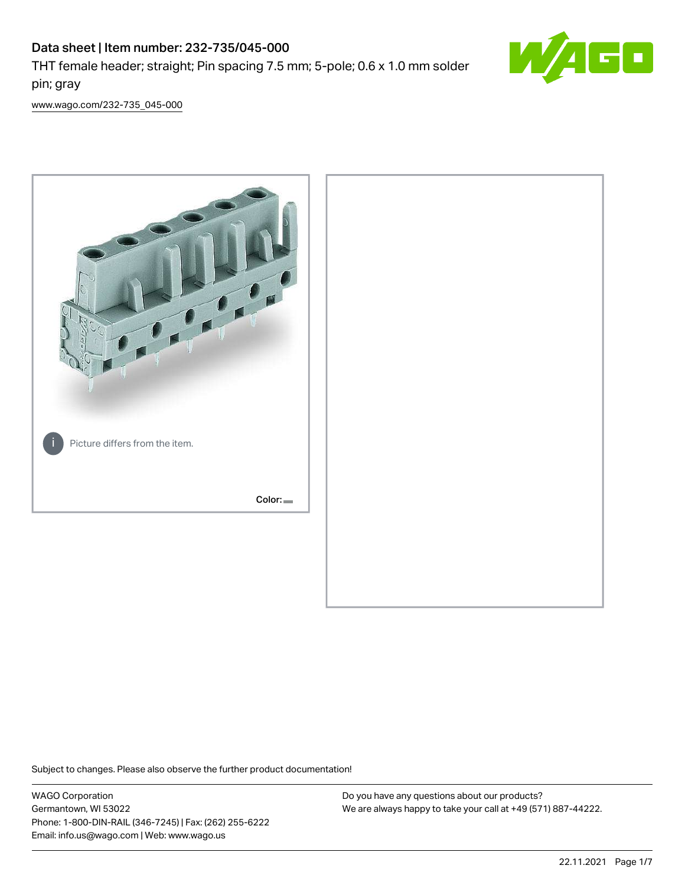# Data sheet | Item number: 232-735/045-000 THT female header; straight; Pin spacing 7.5 mm; 5-pole; 0.6 x 1.0 mm solder pin; gray



[www.wago.com/232-735\\_045-000](http://www.wago.com/232-735_045-000)



Subject to changes. Please also observe the further product documentation!

WAGO Corporation Germantown, WI 53022 Phone: 1-800-DIN-RAIL (346-7245) | Fax: (262) 255-6222 Email: info.us@wago.com | Web: www.wago.us

Do you have any questions about our products? We are always happy to take your call at +49 (571) 887-44222.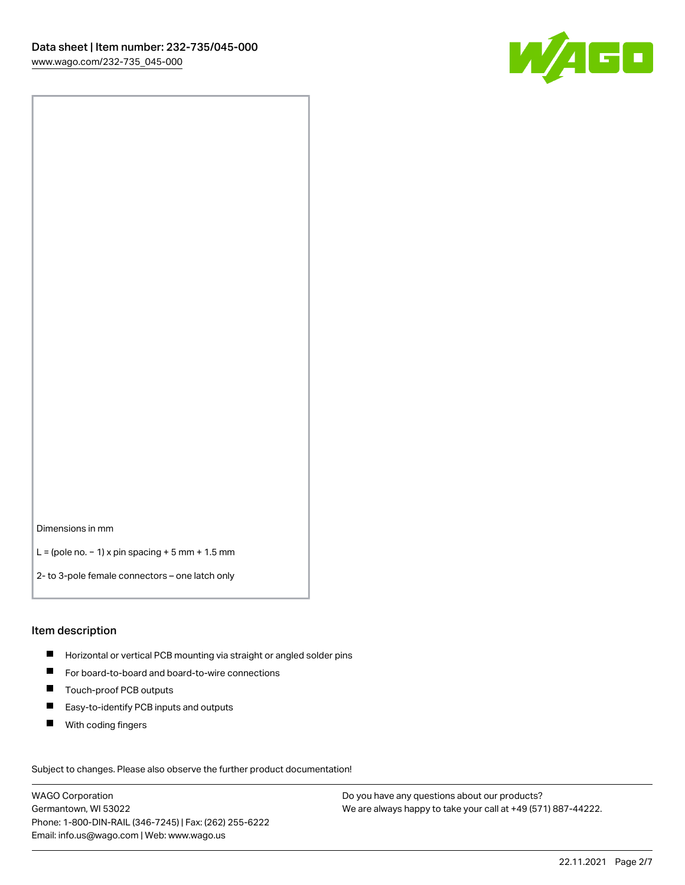

Dimensions in mm

L = (pole no. − 1) x pin spacing + 5 mm + 1.5 mm

2- to 3-pole female connectors – one latch only

#### Item description

- **H** Horizontal or vertical PCB mounting via straight or angled solder pins
- For board-to-board and board-to-wire connections
- Touch-proof PCB outputs  $\blacksquare$
- $\blacksquare$ Easy-to-identify PCB inputs and outputs
- $\blacksquare$ With coding fingers

Subject to changes. Please also observe the further product documentation! Data

WAGO Corporation Germantown, WI 53022 Phone: 1-800-DIN-RAIL (346-7245) | Fax: (262) 255-6222 Email: info.us@wago.com | Web: www.wago.us

Do you have any questions about our products? We are always happy to take your call at +49 (571) 887-44222.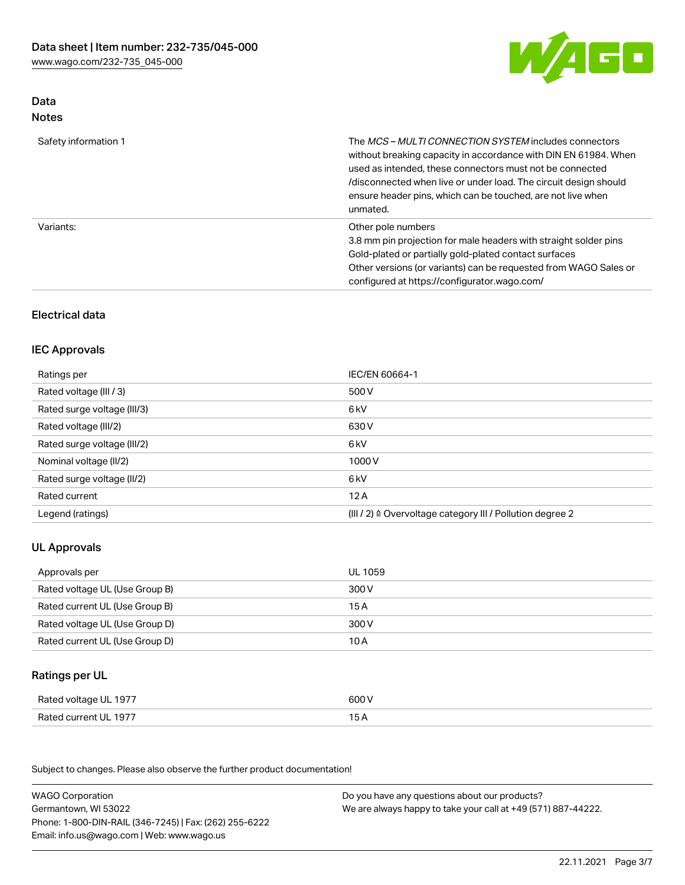

# Data Notes

| Safety information 1 | The <i>MCS – MULTI CONNECTION SYSTEM</i> includes connectors<br>without breaking capacity in accordance with DIN EN 61984. When<br>used as intended, these connectors must not be connected<br>/disconnected when live or under load. The circuit design should<br>ensure header pins, which can be touched, are not live when<br>unmated. |
|----------------------|--------------------------------------------------------------------------------------------------------------------------------------------------------------------------------------------------------------------------------------------------------------------------------------------------------------------------------------------|
| Variants:            | Other pole numbers<br>3.8 mm pin projection for male headers with straight solder pins<br>Gold-plated or partially gold-plated contact surfaces<br>Other versions (or variants) can be requested from WAGO Sales or<br>configured at https://configurator.wago.com/                                                                        |

# Electrical data

### IEC Approvals

| Ratings per                 | IEC/EN 60664-1                                                        |
|-----------------------------|-----------------------------------------------------------------------|
| Rated voltage (III / 3)     | 500 V                                                                 |
| Rated surge voltage (III/3) | 6 kV                                                                  |
| Rated voltage (III/2)       | 630 V                                                                 |
| Rated surge voltage (III/2) | 6 kV                                                                  |
| Nominal voltage (II/2)      | 1000 V                                                                |
| Rated surge voltage (II/2)  | 6 kV                                                                  |
| Rated current               | 12A                                                                   |
| Legend (ratings)            | $(III / 2)$ $\triangle$ Overvoltage category III / Pollution degree 2 |

# UL Approvals

| Approvals per                  | UL 1059 |
|--------------------------------|---------|
| Rated voltage UL (Use Group B) | 300 V   |
| Rated current UL (Use Group B) | 15 A    |
| Rated voltage UL (Use Group D) | 300 V   |
| Rated current UL (Use Group D) | 10 A    |

# Ratings per UL

| Rated voltage UL 1977 | 600 V |
|-----------------------|-------|
| Rated current UL 1977 |       |

Subject to changes. Please also observe the further product documentation!

| <b>WAGO Corporation</b>                                | Do you have any questions about our products?                 |
|--------------------------------------------------------|---------------------------------------------------------------|
| Germantown, WI 53022                                   | We are always happy to take your call at +49 (571) 887-44222. |
| Phone: 1-800-DIN-RAIL (346-7245)   Fax: (262) 255-6222 |                                                               |
| Email: info.us@wago.com   Web: www.wago.us             |                                                               |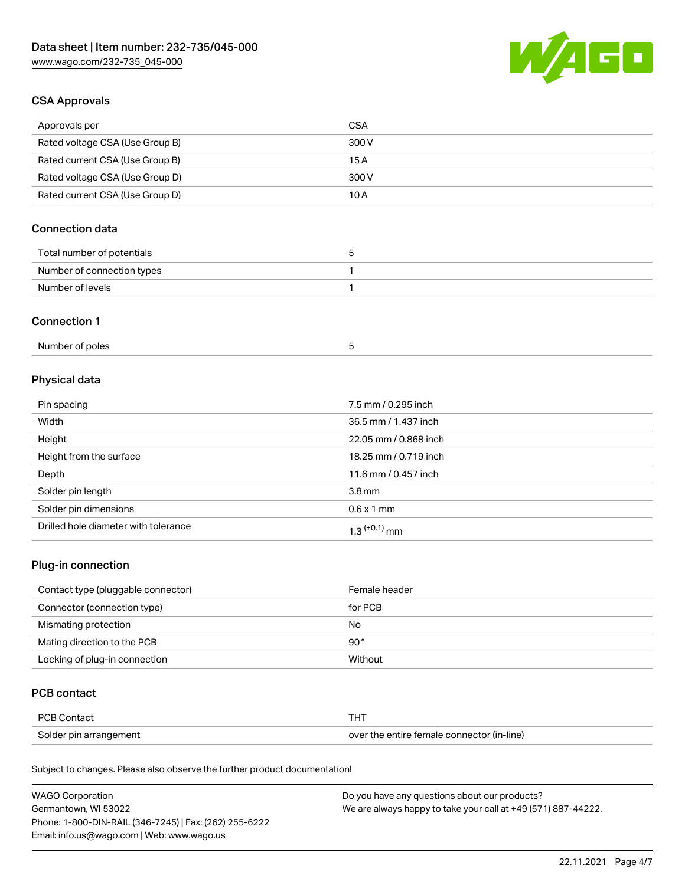

### CSA Approvals

| Approvals per                   | CSA   |
|---------------------------------|-------|
| Rated voltage CSA (Use Group B) | 300 V |
| Rated current CSA (Use Group B) | 15 A  |
| Rated voltage CSA (Use Group D) | 300 V |
| Rated current CSA (Use Group D) | 10 A  |

# Connection data

| Total number of potentials | ı |
|----------------------------|---|
| Number of connection types |   |
| Number of levels           |   |

### Connection 1

| Number of poles |  |
|-----------------|--|
|-----------------|--|

# Physical data

| Pin spacing                          | 7.5 mm / 0.295 inch   |
|--------------------------------------|-----------------------|
| Width                                | 36.5 mm / 1.437 inch  |
| Height                               | 22.05 mm / 0.868 inch |
| Height from the surface              | 18.25 mm / 0.719 inch |
| Depth                                | 11.6 mm / 0.457 inch  |
| Solder pin length                    | 3.8 <sub>mm</sub>     |
| Solder pin dimensions                | $0.6 \times 1$ mm     |
| Drilled hole diameter with tolerance | $1.3$ $(+0.1)$ mm     |

# Plug-in connection

| Contact type (pluggable connector) | Female header |
|------------------------------------|---------------|
| Connector (connection type)        | for PCB       |
| Mismating protection               | No            |
| Mating direction to the PCB        | $90^{\circ}$  |
| Locking of plug-in connection      | Without       |

### PCB contact

| PCB Contact            | THT                                        |
|------------------------|--------------------------------------------|
| Solder pin arrangement | over the entire female connector (in-line) |

Subject to changes. Please also observe the further product documentation!

| <b>WAGO Corporation</b>                                | Do you have any questions about our products?                 |
|--------------------------------------------------------|---------------------------------------------------------------|
| Germantown, WI 53022                                   | We are always happy to take your call at +49 (571) 887-44222. |
| Phone: 1-800-DIN-RAIL (346-7245)   Fax: (262) 255-6222 |                                                               |
| Email: info.us@wago.com   Web: www.wago.us             |                                                               |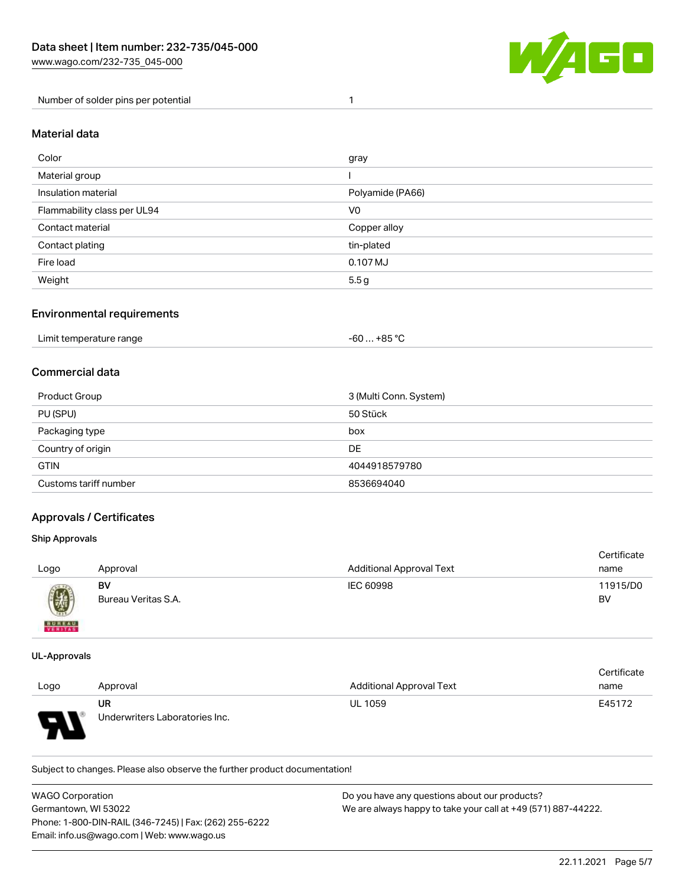

Number of solder pins per potential 1

### Material data

| Color                       | gray             |
|-----------------------------|------------------|
| Material group              |                  |
| Insulation material         | Polyamide (PA66) |
| Flammability class per UL94 | V <sub>0</sub>   |
| Contact material            | Copper alloy     |
| Contact plating             | tin-plated       |
| Fire load                   | 0.107 MJ         |
| Weight                      | 5.5g             |

### Environmental requirements

| Limit temperature range<br>. | +85 °C<br>-60 |  |
|------------------------------|---------------|--|
|------------------------------|---------------|--|

### Commercial data

| Product Group         | 3 (Multi Conn. System) |
|-----------------------|------------------------|
| PU (SPU)              | 50 Stück               |
| Packaging type        | box                    |
| Country of origin     | DE                     |
| <b>GTIN</b>           | 4044918579780          |
| Customs tariff number | 8536694040             |

### Approvals / Certificates

#### Ship Approvals

| Logo                      | Approval                  | <b>Additional Approval Text</b> | Certificate<br>name |
|---------------------------|---------------------------|---------------------------------|---------------------|
| $\textcircled{\small{2}}$ | BV<br>Bureau Veritas S.A. | IEC 60998                       | 11915/D0<br>BV      |
| <b>BUNEAU</b>             |                           |                                 |                     |

#### UL-Approvals

 $\mathbf{A}$ 

|      |                                |                                 | Certificate |
|------|--------------------------------|---------------------------------|-------------|
| Logo | Approval                       | <b>Additional Approval Text</b> | name        |
|      | UR                             | <b>UL 1059</b>                  | E45172      |
| o    | Underwriters Laboratories Inc. |                                 |             |

Subject to changes. Please also observe the further product documentation!

| <b>WAGO Corporation</b>                                | Do you have any questions about our products?                 |
|--------------------------------------------------------|---------------------------------------------------------------|
| Germantown, WI 53022                                   | We are always happy to take your call at +49 (571) 887-44222. |
| Phone: 1-800-DIN-RAIL (346-7245)   Fax: (262) 255-6222 |                                                               |
| Email: info.us@wago.com   Web: www.wago.us             |                                                               |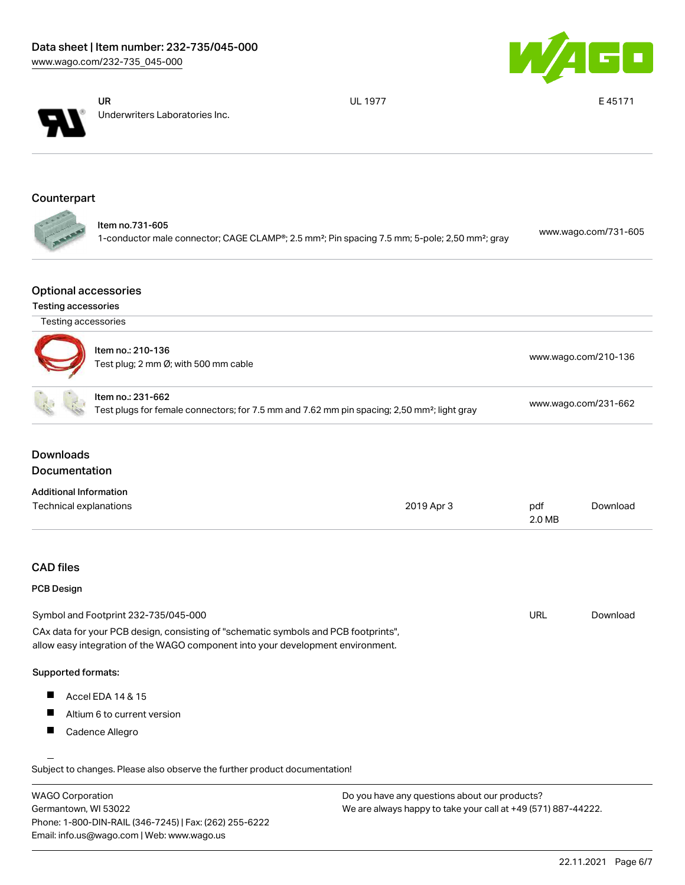



UR Underwriters Laboratories Inc. UL 1977 **E 45171** 

# Counterpart

| ltem no.731-605                                                                                                                     | www.wago.com/731-605 |
|-------------------------------------------------------------------------------------------------------------------------------------|----------------------|
| 1-conductor male connector; CAGE CLAMP <sup>®</sup> ; 2.5 mm <sup>2</sup> ; Pin spacing 7.5 mm; 5-pole; 2,50 mm <sup>2</sup> ; gray |                      |

### Optional accessories

#### Testing accessories

| Testing accessories           |                                                                                                                                                                        |                                                                                                         |                      |                      |
|-------------------------------|------------------------------------------------------------------------------------------------------------------------------------------------------------------------|---------------------------------------------------------------------------------------------------------|----------------------|----------------------|
|                               | Item no.: 210-136<br>Test plug; 2 mm Ø; with 500 mm cable                                                                                                              |                                                                                                         | www.wago.com/210-136 |                      |
|                               | Item no.: 231-662                                                                                                                                                      | Test plugs for female connectors; for 7.5 mm and 7.62 mm pin spacing; 2,50 mm <sup>2</sup> ; light gray |                      | www.wago.com/231-662 |
| <b>Downloads</b>              |                                                                                                                                                                        |                                                                                                         |                      |                      |
| <b>Documentation</b>          |                                                                                                                                                                        |                                                                                                         |                      |                      |
| <b>Additional Information</b> |                                                                                                                                                                        |                                                                                                         |                      |                      |
| Technical explanations        |                                                                                                                                                                        | 2019 Apr 3                                                                                              | pdf<br>2.0 MB        | Download             |
| <b>CAD</b> files              |                                                                                                                                                                        |                                                                                                         |                      |                      |
| <b>PCB Design</b>             |                                                                                                                                                                        |                                                                                                         |                      |                      |
|                               | Symbol and Footprint 232-735/045-000                                                                                                                                   |                                                                                                         | URL                  | Download             |
|                               | CAx data for your PCB design, consisting of "schematic symbols and PCB footprints",<br>allow easy integration of the WAGO component into your development environment. |                                                                                                         |                      |                      |
| Supported formats:            |                                                                                                                                                                        |                                                                                                         |                      |                      |
| Ш                             | Accel EDA 14 & 15                                                                                                                                                      |                                                                                                         |                      |                      |
| Ш                             | Altium 6 to current version                                                                                                                                            |                                                                                                         |                      |                      |
|                               |                                                                                                                                                                        |                                                                                                         |                      |                      |

| <b>WAGO Corporation</b>                                | Do you have any questions about our products?                 |
|--------------------------------------------------------|---------------------------------------------------------------|
| Germantown, WI 53022                                   | We are always happy to take your call at +49 (571) 887-44222. |
| Phone: 1-800-DIN-RAIL (346-7245)   Fax: (262) 255-6222 |                                                               |
| Email: info.us@wago.com   Web: www.wago.us             |                                                               |